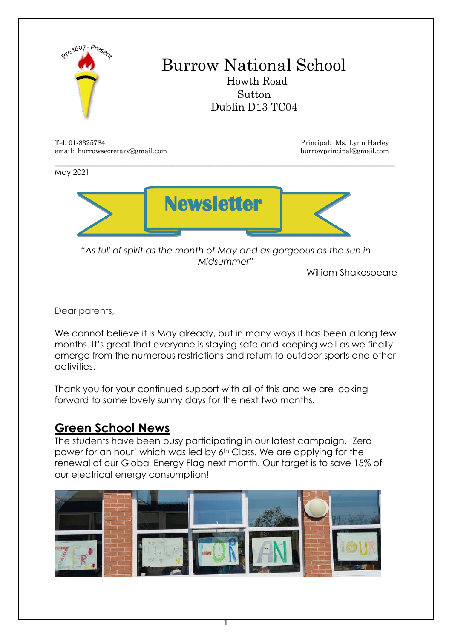

Dear parents,

We cannot believe it is May already, but in many ways it has been a long few months. It's great that everyone is staying safe and keeping well as we finally emerge from the numerous restrictions and return to outdoor sports and other activities.

Thank you for your continued support with all of this and we are looking forward to some lovely sunny days for the next two months.

### **Green School News**

The students have been busy participating in our latest campaign, 'Zero power for an hour' which was led by 6th Class. We are applying for the renewal of our Global Energy Flag next month. Our target is to save 15% of our electrical energy consumption!

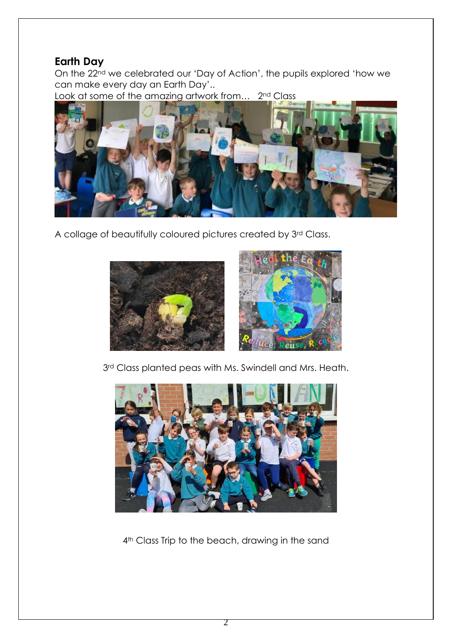#### **Earth Day**

On the 22nd we celebrated our 'Day of Action', the pupils explored 'how we can make every day an Earth Day'..

Look at some of the amazing artwork from... 2<sup>nd</sup> Class



A collage of beautifully coloured pictures created by 3rd Class.



3rd Class planted peas with Ms. Swindell and Mrs. Heath.



4<sup>th</sup> Class Trip to the beach, drawing in the sand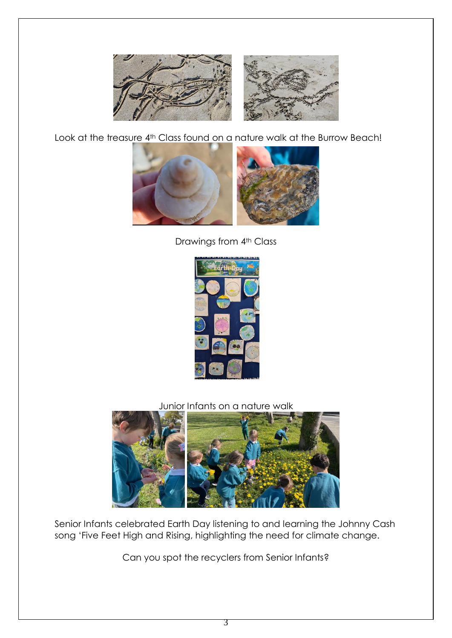

Look at the treasure 4<sup>th</sup> Class found on a nature walk at the Burrow Beach!



Drawings from 4<sup>th</sup> Class



Junior Infants on a nature walk



Senior Infants celebrated Earth Day listening to and learning the Johnny Cash song 'Five Feet High and Rising, highlighting the need for climate change.

Can you spot the recyclers from Senior Infants?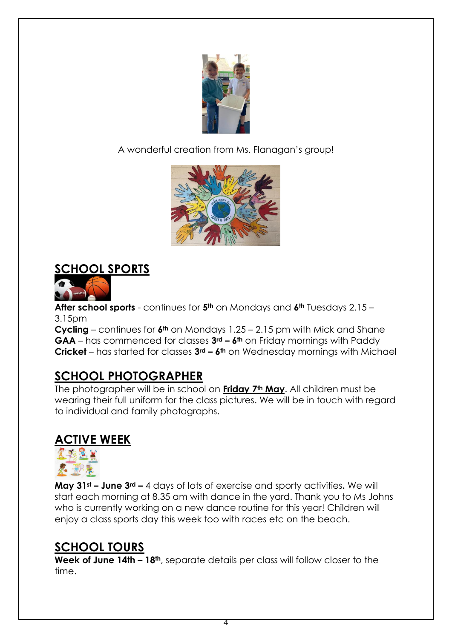

A wonderful creation from Ms. Flanagan's group!



## **SCHOOL SPORTS**



**After school sports** - continues for **5th** on Mondays and **6th** Tuesdays 2.15 – 3.15pm

**Cycling** – continues for **6th** on Mondays 1.25 – 2.15 pm with Mick and Shane **GAA** – has commenced for classes **3rd – 6th** on Friday mornings with Paddy **Cricket** – has started for classes **3rd – 6th** on Wednesday mornings with Michael

### **SCHOOL PHOTOGRAPHER**

The photographer will be in school on **Friday 7th May**. All children must be wearing their full uniform for the class pictures. We will be in touch with regard to individual and family photographs.

### **ACTIVE WEEK**



**May 31st – June 3rd –** 4 days of lots of exercise and sporty activities**.** We will start each morning at 8.35 am with dance in the yard. Thank you to Ms Johns who is currently working on a new dance routine for this year! Children will enjoy a class sports day this week too with races etc on the beach.

## **SCHOOL TOURS**

**Week of June 14th – 18th**, separate details per class will follow closer to the time.